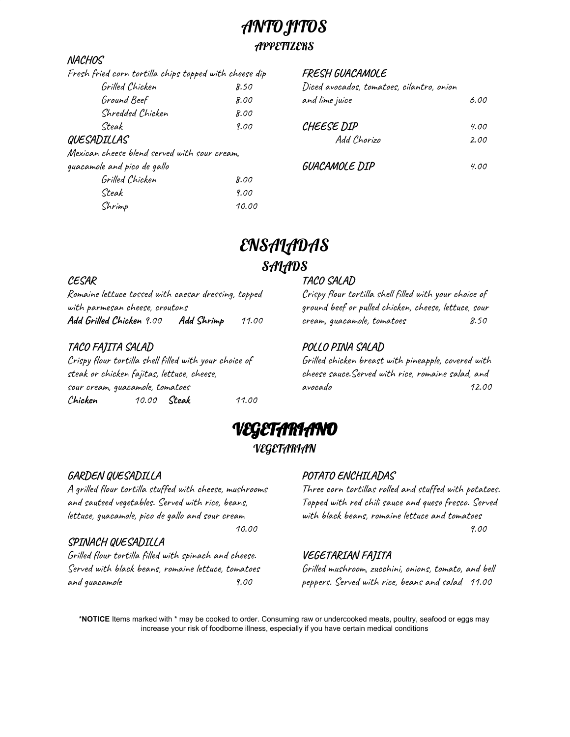# ANTOJITOS

# **APPETIZERS**

### **NACHOS**

| Fresh fried corn tortilla chips topped with cheese dip |      |
|--------------------------------------------------------|------|
| Grilled Chicken                                        | 8.50 |
| Ground Beef                                            | 8.00 |
| Shredded Chicken                                       | 8.00 |
| Steak                                                  | 9.00 |
| QUESADILLAS                                            |      |

Mexican cheese blend served with sour cream,

| guacamole and pico de gallo |       |
|-----------------------------|-------|
| Grilled Chicken             | 8.00  |
| Steak                       | 9.00  |
| Shrimp                      | 10.00 |

### **FRESH GUACAMOLE**

| Diced avocados, tomatoes, cilantro, onion<br>and lime juice | 6.00         |
|-------------------------------------------------------------|--------------|
| CHEESE DIP<br>Add Chorizo                                   | 4.00<br>2.00 |
| <i>GUACAMOLE DIP</i>                                        | 4.00         |
|                                                             |              |

# ENSALADAS **SALADS**

### **CESAR**

Romaine lettuce tossed with caesar dressing, topped with parmesan cheese, croutons **Add Grilled Chicken** 9.00 **Add Shrimp** 11.00

# **TACO FAJITA SALAD**

Crispy flour tortilla shell filled with your choice of steak or chicken fajitas, lettuce, cheese, sour cream, guacamole, tomatoes C**hicken** 10.00 **Steak** 11.00

# **TACO SALAD**

Crispy flour tortilla shell filled with your choice of ground beef or pulled chicken, cheese, lettuce, sour cream, guacamole, tomatoes 8.50

# **POLLO PINA SALAD**

Grilled chicken breast with pineapple, covered with cheese sauce.Served with rice, romaine salad, and avocado 12.00



# **GARDEN QUESADILLA**

A grilled flour tortilla stuffed with cheese, mushrooms and sauteed vegetables. Served with rice, beans, lettuce, guacamole, pico de gallo and sour cream 10.00

### **SPINACH QUESADILLA**

Grilled flour tortilla filled with spinach and cheese. Served with black beans, romaine lettuce, tomatoes and guacamole 9.00

# **POTATO ENCHILADAS**

Three corn tortillas rolled and stuffed with potatoes. Topped with red chili sauce and queso fresco. Served with black beans, romaine lettuce and tomatoes 9.00

# **VEGETARIAN FAJITA**

Grilled mushroom, zucchini, onions, tomato, and bell peppers. Served with rice, beans and salad 11.00

\***NOTICE** Items marked with \* may be cooked to order. Consuming raw or undercooked meats, poultry, seafood or eggs may increase your risk of foodborne illness, especially if you have certain medical conditions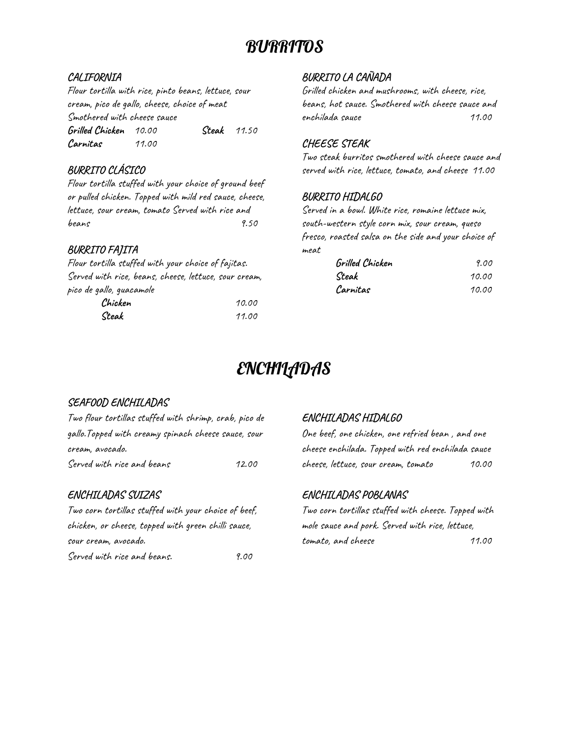# **BURRITOS**

### **CALIFORNIA**

Flour tortilla with rice, pinto beans, lettuce, sour cream, pico de gallo, cheese, choice of meat Smothered with cheese sauce **Grilled Chicken** 10.00 **Steak** 11.50 **Carnitas** 11.00

# **BURRITO CLÁSICO**

Flour tortilla stuffed with your choice of ground beef or pulled chicken. Topped with mild red sauce, cheese, lettuce, sour cream, tomato Served with rice and beans 9.50

# **BURRITO FAJITA**

Flour tortilla stuffed with your choice of fajitas. Served with rice, beans, cheese, lettuce, sour cream, pico de gallo, guacamole **Chicken** 10.00 **Steak** 11.00

# **BURRITO LA CAÑADA**

Grilled chicken and mushrooms, with cheese, rice, beans, hot sauce. Smothered with cheese sauce and enchilada sauce 11.00

# **CHEESE STEAK**

Two steak burritos smothered with cheese sauce and served with rice, lettuce, tomato, and cheese 11.00

### **BURRITO HIDALGO**

Served in a bowl. White rice, romaine lettuce mix, south-western style corn mix, sour cream, queso fresco, roasted salsa on the side and your choice of meat

| Grilled Chicken | 9.00  |
|-----------------|-------|
| Steak           | 10.00 |
| Carnitas        | 10.00 |

# **ENCHILADAS**

# **SEAFOOD ENCHILADAS**

| Two flour tortillas stuffed with shrimp, crab, pico de |       |
|--------------------------------------------------------|-------|
| gallo.Topped with creamy spinach cheese sauce, sour    |       |
| cream, avocado.                                        |       |
| Served with rice and beans                             | 12.00 |

# **ENCHILADAS SUIZAS**

Two corn tortillas stuffed with your choice of beef, chicken, or cheese, topped with green chilli sauce, sour cream, avocado. Served with rice and beans. 9.00

# **ENCHILADAS HIDALGO**

One beef, one chicken, one refried bean , and one cheese enchilada. Topped with red enchilada sauce cheese, lettuce, sour cream, tomato 10.00

# **ENCHILADAS POBLANAS**

Two corn tortillas stuffed with cheese. Topped with mole sauce and pork. Served with rice, lettuce, tomato, and cheese 11.00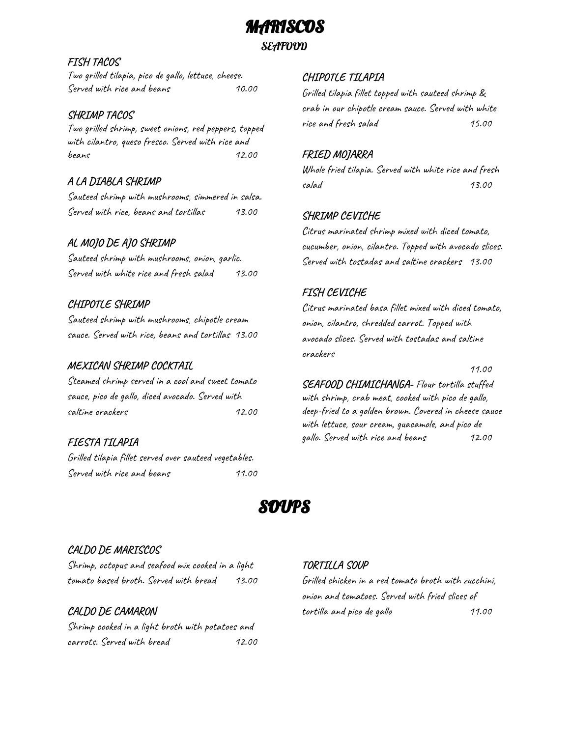MARISCOS

### SEAFOOD

#### **FISH TACOS**

Two grilled tilapia, pico de gallo, lettuce, cheese. Served with rice and beans 10.00

#### **SHRIMP TACOS**

Two grilled shrimp, sweet onions, red peppers, topped with cilantro, queso fresco. Served with rice and beans 12.00

### **A LA DIABLA SHRIMP**

Sauteed shrimp with mushrooms, simmered in salsa. Served with rice, beans and tortillas 13.00

### **AL MOJO DE AJO SHRIMP**

Sauteed shrimp with mushrooms, onion, garlic. Served with white rice and fresh salad 13.00

### **CHIPOTLE SHRIMP**

Sauteed shrimp with mushrooms, chipotle cream sauce. Served with rice, beans and tortillas 13.00

#### **MEXICAN SHRIMP COCKTAIL**

Steamed shrimp served in a cool and sweet tomato sauce, pico de gallo, diced avocado. Served with saltine crackers 12.00

### **FIESTA TILAPIA**

Grilled tilapia fillet served over sauteed vegetables. Served with rice and beans 11.00

### **CHIPOTLE TILAPIA**

Grilled tilapia fillet topped with sauteed shrimp & crab in our chipotle cream sauce. Served with white rice and fresh salad 15.00

### **FRIED MOJARRA**

Whole fried tilapia. Served with white rice and fresh salad 13.00

### **SHRIMP CEVICHE**

Citrus marinated shrimp mixed with diced tomato, cucumber, onion, cilantro. Topped with avocado slices. Served with tostadas and saltine crackers 13.00

### **FISH CEVICHE**

Citrus marinated basa fillet mixed with diced tomato, onion, cilantro, shredded carrot. Topped with avocado slices. Served with tostadas and saltine crackers

11.00

**SEAFOOD CHIMICHANGA-** Flour tortilla stuffed with shrimp, crab meat, cooked with pico de gallo, deep-fried to a golden brown. Covered in cheese sauce with lettuce, sour cream, guacamole, and pico de gallo. Served with rice and beans 12.00

# SMPS

### **CALDO DE MARISCOS**

Shrimp, octopus and seafood mix cooked in a light tomato based broth. Served with bread 13.00

### **CALDO DE CAMARON** Shrimp cooked in a light broth with potatoes and carrots. Served with bread 12.00

#### **TORTILLA SOUP**

Grilled chicken in a red tomato broth with zucchini, onion and tomatoes. Served with fried slices of tortilla and pico de gallo 11.00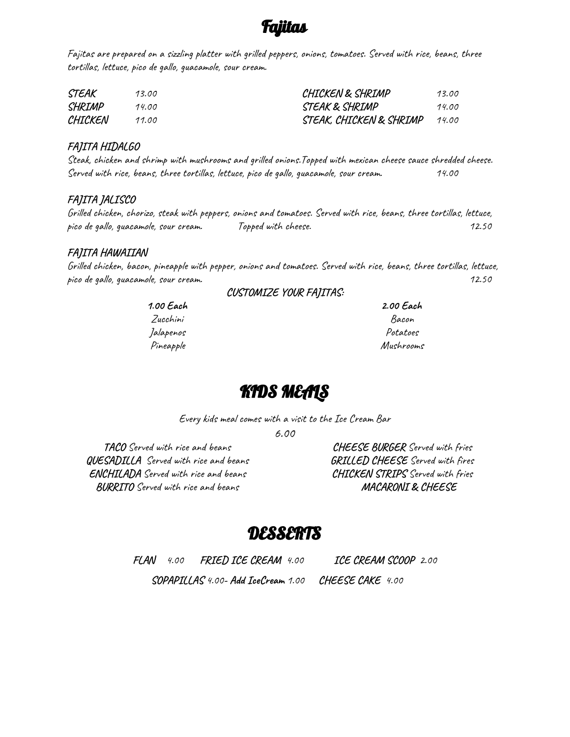# Fajitas

Fajitas are prepared on a sizzling platter with grilled peppers, onions, tomatoes. Served with rice, beans, three tortillas, lettuce, pico de gallo, guacamole, sour cream.

| STEAK   | 13.00 | CHICKEN & SHRIMP        | 13.00 |
|---------|-------|-------------------------|-------|
| SHRIMP  | 14.00 | STEAK & SHRIMP          | 14.00 |
| CHICKEN | 11.00 | STEAK, CHICKEN & SHRIMP | 14.00 |

#### **FAJITA HIDALGO**

Steak, chicken and shrimp with mushrooms and grilled onions.Topped with mexican cheese sauce shredded cheese. Served with rice, beans, three tortillas, lettuce, pico de gallo, guacamole, sour cream. 14.00

### **FAJITA JALISCO**

Grilled chicken, chorizo, steak with peppers, onions and tomatoes. Served with rice, beans, three tortillas, lettuce, pico de gallo, guacamole, sour cream. Topped with cheese. 12.50

### **FAJITA HAWAIIAN**

Grilled chicken, bacon, pineapple with pepper, onions and tomatoes. Served with rice, beans, three tortillas, lettuce, pico de gallo, guacamole, sour cream. 12.50

**CUSTOMIZE YOUR FAJITAS:**

**1.00 Each** Zucchini Jalapenos Pineapple **2.00 Each** Bacon Potatoes Mushrooms

# KIDS MEALS

Every kids meal comes with a visit to the Ice Cream Bar

6.00

**TACO** Served with rice and beans **QUESADILLA** Served with rice and beans **ENCHILADA** Served with rice and beans **BURRITO** Served with rice and beans

**CHEESE BURGER** Served with fries **GRILLED CHEESE** Served with fires **CHICKEN STRIPS** Served with fries **MACARONI & CHEESE**

# DESSERTS

**FLAN** 4.00 **FRIED ICE CREAM** 4.00 **ICE CREAM SCOOP** 2.00

**SOPAPILLAS** 4.00**- Add IceCream** 1.00 **CHEESE CAKE** 4.00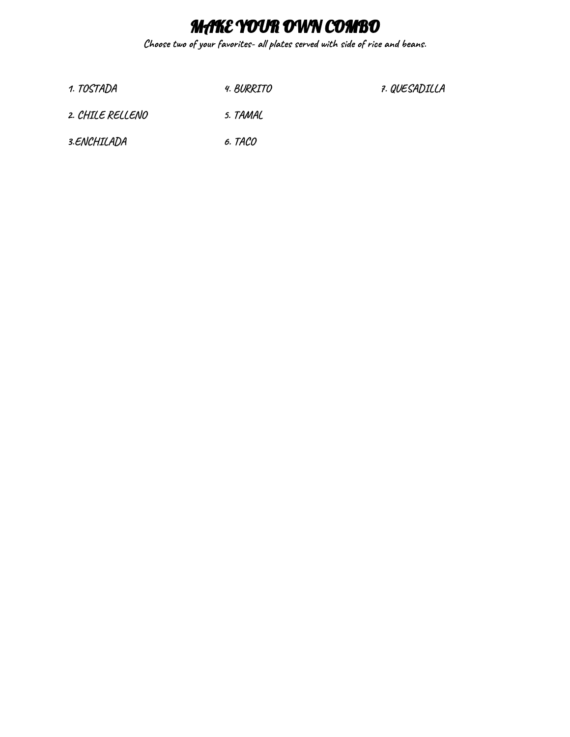# MAKE YOUR OWN COMBO

**Choose two of your favorites- all plates served with side of rice and beans.**

**1. TOSTADA 4. BURRITO**

**7. QUESADILLA**

- **2. CHILE RELLENO 5. TAMAL**
- **3.ENCHILADA 6. TACO**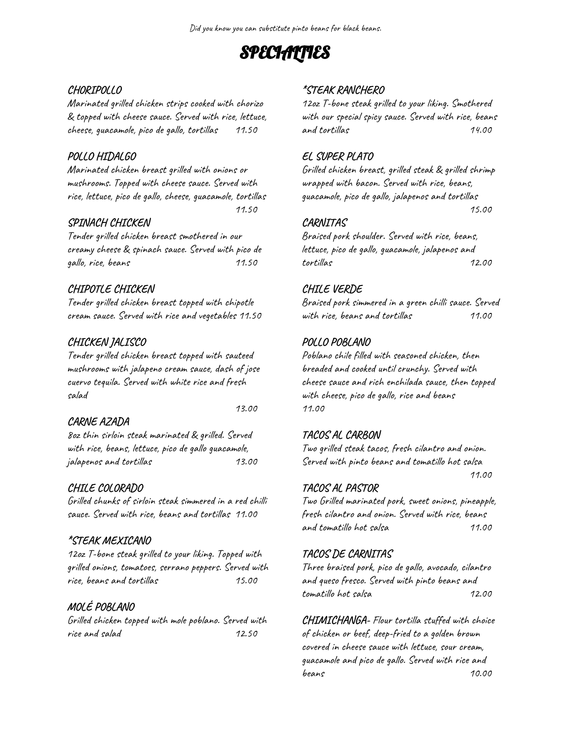# **SPECIALTIES**

### **CHORIPOLLO**

Marinated grilled chicken strips cooked with chorizo & topped with cheese sauce. Served with rice, lettuce, cheese, guacamole, pico de gallo, tortillas 11.50

### **POLLO HIDALGO**

Marinated chicken breast grilled with onions or mushrooms. Topped with cheese sauce. Served with rice, lettuce, pico de gallo, cheese, guacamole, tortillas 11.50

### **SPINACH CHICKEN**

Tender grilled chicken breast smothered in our creamy cheese & spinach sauce. Served with pico de gallo, rice, beans 11.50

# **CHIPOTLE CHICKEN**

Tender grilled chicken breast topped with chipotle cream sauce. Served with rice and vegetables 11.50

# **CHICKEN JALISCO**

Tender grilled chicken breast topped with sauteed mushrooms with jalapeno cream sauce, dash of jose cuervo tequila. Served with white rice and fresh salad

### **CARNE AZADA**

13.00

8oz thin sirloin steak marinated & grilled. Served with rice, beans, lettuce, pico de gallo guacamole, jalapenos and tortillas 13.00

# **CHILE COLORADO**

Grilled chunks of sirloin steak simmered in a red chilli sauce. Served with rice, beans and tortillas 11.00

# **\*STEAK MEXICANO**

12oz T-bone steak grilled to your liking. Topped with grilled onions, tomatoes, serrano peppers. Served with rice, beans and tortillas 15.00

# **MOLÉ POBLANO**

Grilled chicken topped with mole poblano. Served with rice and salad 12.50

# **\*STEAK RANCHERO**

12oz T-bone steak grilled to your liking. Smothered with our special spicy sauce. Served with rice, beans and tortillas 14.00

### **EL SUPER PLATO**

Grilled chicken breast, grilled steak & grilled shrimp wrapped with bacon. Served with rice, beans, guacamole, pico de gallo, jalapenos and tortillas 15.00

### **CARNITAS**

Braised pork shoulder. Served with rice, beans, lettuce, pico de gallo, guacamole, jalapenos and tortillas 12.00

# **CHILE VERDE**

Braised pork simmered in a green chilli sauce. Served with rice, beans and tortillas 11.00

# **POLLO POBLANO**

Poblano chile filled with seasoned chicken, then breaded and cooked until crunchy. Served with cheese sauce and rich enchilada sauce, then topped with cheese, pico de gallo, rice and beans 11.00

# **TACOS AL CARBON**

Two grilled steak tacos, fresh cilantro and onion. Served with pinto beans and tomatillo hot salsa

### 11.00

# **TACOS AL PASTOR**

Two Grilled marinated pork, sweet onions, pineapple, fresh cilantro and onion. Served with rice, beans and tomatillo hot salsa 11.00

# **TACOS DE CARNITAS**

Three braised pork, pico de gallo, avocado, cilantro and queso fresco. Served with pinto beans and tomatillo hot salsa 12.00

**CHIMICHANGA-** Flour tortilla stuffed with choice of chicken or beef, deep-fried to a golden brown covered in cheese sauce with lettuce, sour cream, guacamole and pico de gallo. Served with rice and beans 10.00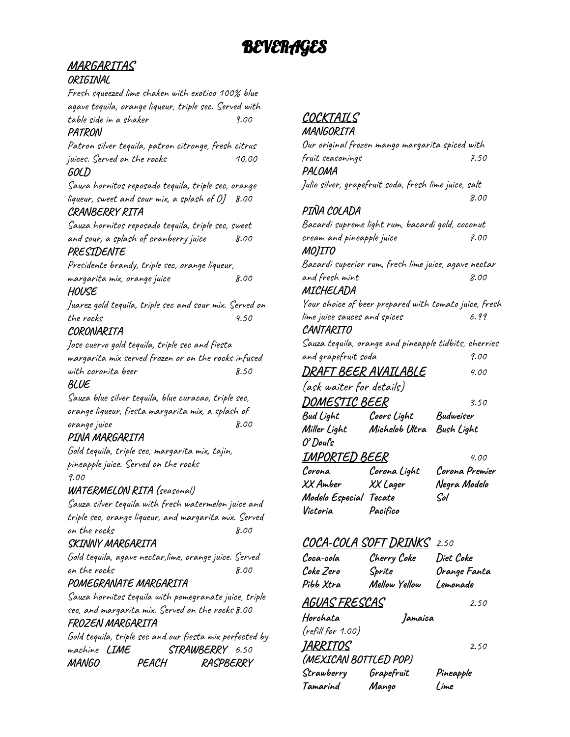# **MARGARITAS**

### **ORIGINAL**

Fresh squeezed lime shaken with exotico 100% blue agave tequila, orange liqueur, triple sec. Served with table side in a shaker 9.00

### **PATRON**

Patron silver tequila, patron citronge, fresh citrus juices. Served on the rocks 10.00 **GOLD**

Sauza hornitos reposado tequila, triple sec, orange liqueur, sweet and sour mix, a splash of OJ 8.00 **CRANBERRY RITA**

Sauza hornitos reposado tequila, triple sec, sweet and sour, a splash of cranberry juice 8.00

# **PRESIDENTE**

Presidente brandy, triple sec, orange liqueur, margarita mix, orange juice 8.00

#### **HOUSE**

Juarez gold tequila, triple sec and sour mix. Served on the rocks 4.50

### **CORONARITA**

Jose cuervo gold tequila, triple sec and fiesta margarita mix served frozen or on the rocks infused with coronita beer  $8.50$ 

### **BLUE**

Sauza blue silver tequila, blue curacao, triple sec, orange liqueur, fiesta margarita mix, a splash of orange juice 8.00

# **PINA MARGARITA**

Gold tequila, triple sec, margarita mix, tajin, pineapple juice. Served on the rocks 9.00

### **WATERMELON RITA (**seasonal)

Sauza silver tequila with fresh watermelon juice and triple sec, orange liqueur, and margarita mix. Served on the rocks 8.00

### **SKINNY MARGARITA**

Gold tequila, agave nectar,lime, orange juice. Served on the rocks 8.00

### **POMEGRANATE MARGARITA**

Sauza hornitos tequila with pomegranate juice, triple sec, and margarita mix. Served on the rocks 8.00 **FROZEN MARGARITA**

Gold tequila, triple sec and our fiesta mix perfected by machine **LIME STRAWBERRY** 6.50 **MANGO PEACH RASPBERRY**

# **COCKTAILS**

| MANGORITA                    |                                                       |                                                       |
|------------------------------|-------------------------------------------------------|-------------------------------------------------------|
|                              | Our original frozen mango margarita spiced with       |                                                       |
| fruit seasonings             |                                                       | 7.50                                                  |
| PALOMA                       |                                                       |                                                       |
|                              | Julio silver, grapefruit soda, fresh lime juice, salt |                                                       |
|                              |                                                       | 8.00                                                  |
| PIÑA COLADA                  |                                                       |                                                       |
|                              | Bacardi supreme light rum, bacardi gold, coconut      |                                                       |
| cream and pineapple juice    |                                                       | 7.00                                                  |
| MOJITO                       |                                                       |                                                       |
|                              | Bacardi superior rum, fresh lime juice, agave nectar  |                                                       |
| and fresh mint               |                                                       | 8.00                                                  |
| MICHELADA                    |                                                       |                                                       |
|                              |                                                       | Your choice of beer prepared with tomato juice, fresh |
| lime juice sauces and spices |                                                       | 6.99                                                  |
| CANTARITO                    |                                                       |                                                       |
|                              | Sauza tequila, orange and pineapple tidbits, cherries |                                                       |
| and grapefruit soda          |                                                       | 9.00                                                  |
| DRAFT BEER AVAILABLE         |                                                       | 4.00                                                  |
| (ask waiter for details)     |                                                       |                                                       |
| <i>DOMESTIC BEER</i>         |                                                       | 3.50                                                  |
| Bud Light                    | Coors Light                                           | Budweiser                                             |
| Miller Light                 | Michelob Ultra                                        | Bush Light                                            |
| O' Doul's                    |                                                       |                                                       |
| IMPORTED BEER                |                                                       | 4.00                                                  |
| Corona                       | Corona Light                                          | Corona Premier                                        |
| XX Amber                     | XX Lager                                              | Negra Modelo                                          |
| Modelo Especial Tecate       |                                                       | Sol                                                   |
| Victoria                     | Pacifico                                              |                                                       |
|                              |                                                       |                                                       |
| COCA-COLA SOFT DRINKS        |                                                       | 2.50                                                  |
| Coca-cola                    | Cherry Coke                                           | Diet Coke                                             |
| Coke Zero                    | Sprite                                                | Orange Fanta                                          |
| Pibb Xtra                    | Mellow Yellow                                         | Lemonade                                              |

**AGUAS FRESCAS** 2.50

**Horchata Jamaica** (refill for 1.00) **JARRITOS** 2.50 **(MEXICAN BOTTLED POP) Strawberry Grapefruit Pineapple Tamarind Mango Lime**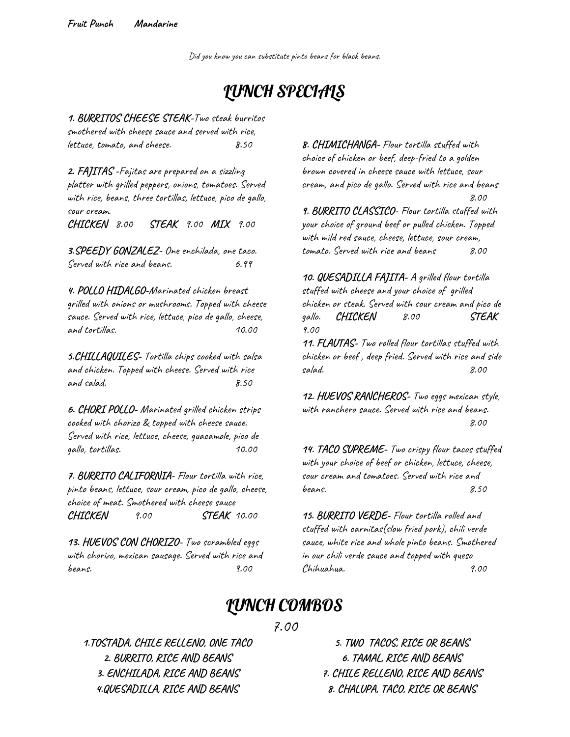Did you know you can substitute pinto beans for black beans.

# LUNCH SPECIALS

**1. BURRITOS CHEESE STEAK-**Two steak burritos smothered with cheese sauce and served with rice, lettuce, tomato, and cheese. 8.50

**2. FAJITAS -**Fajitas are prepared on a sizzling platter with grilled peppers, onions, tomatoes. Served with rice, beans, three tortillas, lettuce, pico de gallo, sour cream. **CHICKEN** 8.00 **STEAK** 9.00 **MIX** 9.00

**3.SPEEDY GONZALEZ-** One enchilada, one taco. Served with rice and beans. 6.99

**4. POLLO HIDALGO-**Marinated chicken breast grilled with onions or mushrooms. Topped with cheese sauce. Served with rice, lettuce, pico de gallo, cheese, and tortillas. 10.00

**5.CHILLAQUILES-** Tortilla chips cooked with salsa and chicken. Topped with cheese. Served with rice and salad. 8.50

**6. CHORI POLLO-** Marinated grilled chicken strips cooked with chorizo & topped with cheese sauce. Served with rice, lettuce, cheese, guacamole, pico de gallo, tortillas. 10.00

**7. BURRITO CALIFORNIA-** Flour tortilla with rice, pinto beans, lettuce, sour cream, pico de gallo, cheese, choice of meat. Smothered with cheese sauce **CHICKEN** 9.00 **STEAK** 10.00

**13. HUEVOS CON CHORIZO-** Two scrambled eggs with chorizo, mexican sausage. Served with rice and beans. 9.00

**8. CHIMICHANGA-** Flour tortilla stuffed with choice of chicken or beef, deep-fried to a golden brown covered in cheese sauce with lettuce, sour cream, and pico de gallo. Served with rice and beans 8.00

**9. BURRITO CLASSICO-** Flour tortilla stuffed with your choice of ground beef or pulled chicken. Topped with mild red sauce, cheese, lettuce, sour cream, tomato. Served with rice and beans 8.00

**10. QUESADILLA FAJITA-** A grilled flour tortilla stuffed with cheese and your choice of grilled chicken or steak. Served with sour cream and pico de gallo. **CHICKEN** 8.00 **STEAK** 9.00

**11. FLAUTAS-** Two rolled flour tortillas stuffed with chicken or beef , deep fried. Served with rice and side salad. 8.00

**12. HUEVOS RANCHEROS-** Two eggs mexican style, with ranchero sauce. Served with rice and beans. 8.00

**14. TACO SUPREME-** Two crispy flour tacos stuffed with your choice of beef or chicken, lettuce, cheese, sour cream and tomatoes. Served with rice and beans.  $8.50$ 

**15. BURRITO VERDE-** Flour tortilla rolled and stuffed with carnitas(slow fried pork), chili verde sauce, white rice and whole pinto beans. Smothered in our chili verde sauce and topped with queso Chihuahua. 9.00

# LUNCH COMBOS

### 7.00

**1.TOSTADA, CHILE RELLENO, ONE TACO 2. BURRITO, RICE AND BEANS 3. ENCHILADA, RICE AND BEANS 4.QUESADILLA, RICE AND BEANS**

**5. TWO TACOS, RICE OR BEANS 6. TAMAL, RICE AND BEANS 7. CHILE RELLENO, RICE AND BEANS 8. CHALUPA, TACO, RICE OR BEANS**